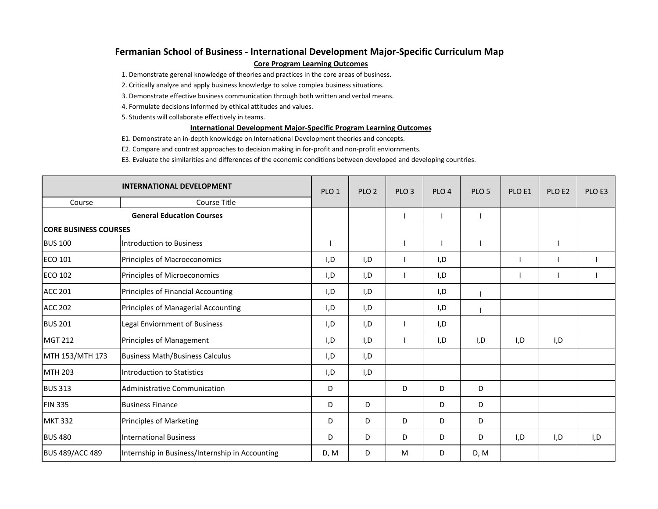## **Fermanian School of Business ‐ International Development Major‐Specific Curriculum Map Core Program Learning Outcomes**

1. Demonstrate gerenal knowledge of theories and practices in the core areas of business.

2. Critically analyze and apply business knowledge to solve complex business situations.

3. Demonstrate effective business communication through both written and verbal means.

4. Formulate decisions informed by ethical attitudes and values.

5. Students will collaborate effectively in teams.

## **International Development Major‐Specific Program Learning Outcomes**

E1. Demonstrate an in‐depth knowledge on International Development theories and concepts.

E2. Compare and contrast approaches to decision making in for‐profit and non‐profit enviornments.

E3. Evaluate the similarities and differences of the economic conditions between developed and developing countries.

| <b>INTERNATIONAL DEVELOPMENT</b> |                                                 | PLO <sub>1</sub> | PLO <sub>2</sub> | PLO <sub>3</sub> | PLO <sub>4</sub> | PLO <sub>5</sub> | PLO <sub>E1</sub> | PLO <sub>E2</sub> | PLO <sub>E3</sub> |
|----------------------------------|-------------------------------------------------|------------------|------------------|------------------|------------------|------------------|-------------------|-------------------|-------------------|
| Course                           | <b>Course Title</b>                             |                  |                  |                  |                  |                  |                   |                   |                   |
| <b>General Education Courses</b> |                                                 |                  |                  |                  |                  |                  |                   |                   |                   |
| <b>CORE BUSINESS COURSES</b>     |                                                 |                  |                  |                  |                  |                  |                   |                   |                   |
| <b>BUS 100</b>                   | <b>Introduction to Business</b>                 |                  |                  |                  |                  |                  |                   |                   |                   |
| <b>ECO 101</b>                   | Principles of Macroeconomics                    | I,D              | I,D              |                  | I, D             |                  |                   |                   |                   |
| <b>ECO 102</b>                   | Principles of Microeconomics                    | I,D              | I,D              |                  | I,D              |                  |                   |                   |                   |
| <b>ACC 201</b>                   | Principles of Financial Accounting              | I,D              | I,D              |                  | I,D              |                  |                   |                   |                   |
| <b>ACC 202</b>                   | Principles of Managerial Accounting             | I,D              | I, D             |                  | I,D              |                  |                   |                   |                   |
| <b>BUS 201</b>                   | Legal Enviornment of Business                   | I,D              | I, D             |                  | I, D             |                  |                   |                   |                   |
| <b>MGT 212</b>                   | Principles of Management                        | I,D              | I,D              |                  | I,D              | I,D              | I,D               | I,D               |                   |
| MTH 153/MTH 173                  | <b>Business Math/Business Calculus</b>          | I,D              | I,D              |                  |                  |                  |                   |                   |                   |
| <b>MTH 203</b>                   | <b>Introduction to Statistics</b>               | I,D              | I,D              |                  |                  |                  |                   |                   |                   |
| <b>BUS 313</b>                   | <b>Administrative Communication</b>             | D                |                  | D                | D                | D                |                   |                   |                   |
| <b>FIN 335</b>                   | <b>Business Finance</b>                         | D                | D                |                  | D                | D                |                   |                   |                   |
| <b>MKT 332</b>                   | Principles of Marketing                         | D                | D                | D                | D                | D                |                   |                   |                   |
| <b>BUS 480</b>                   | <b>International Business</b>                   | D                | D                | D                | D                | D                | I,D               | I,D               | I,D               |
| <b>BUS 489/ACC 489</b>           | Internship in Business/Internship in Accounting | D, M             | D                | M                | D                | D, M             |                   |                   |                   |